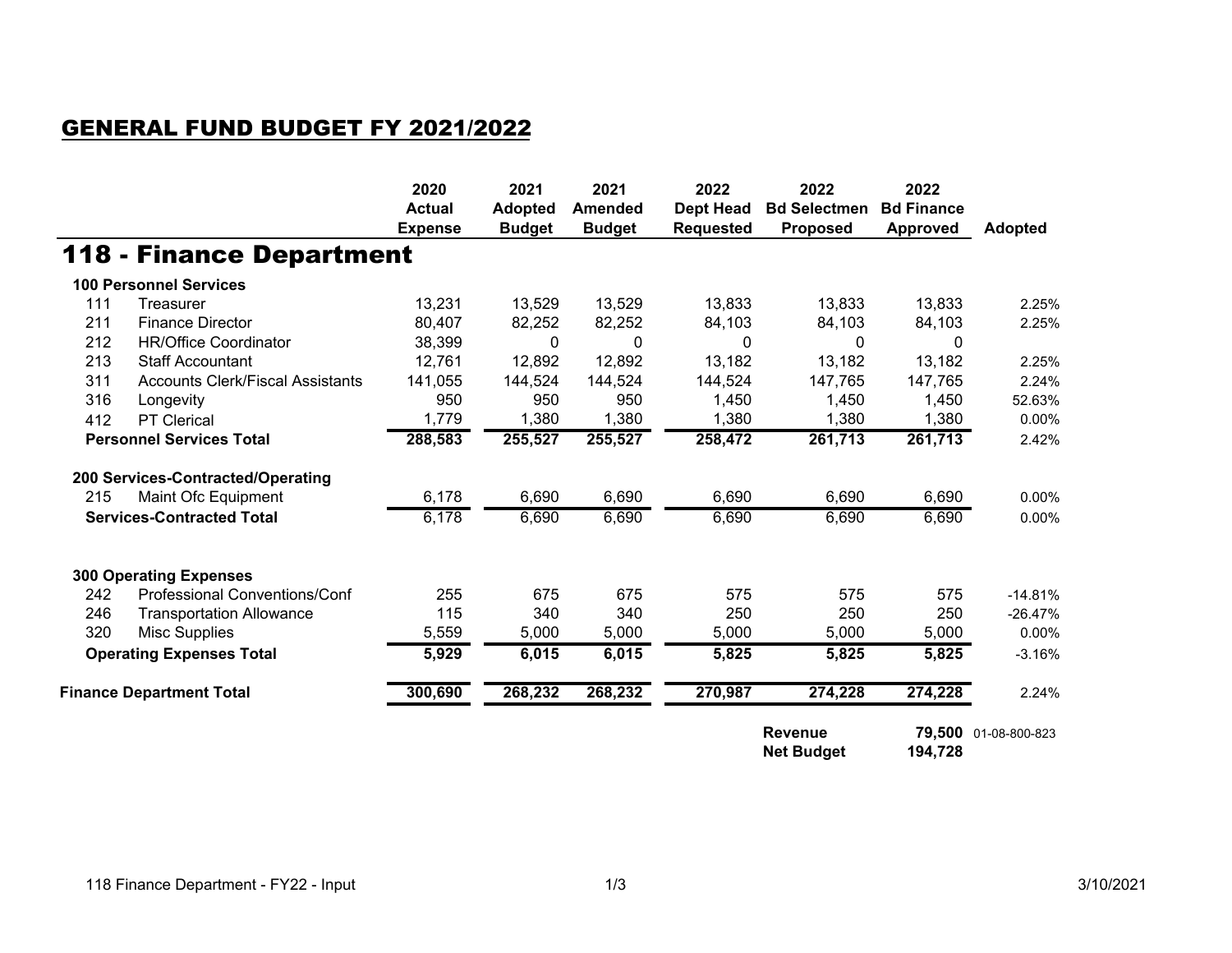## GENERAL FUND BUDGET FY 2021/2022

|                                  |                                         | 2020<br><b>Actual</b><br><b>Expense</b> | 2021<br><b>Adopted</b><br><b>Budget</b> | 2021<br><b>Amended</b><br><b>Budget</b> | 2022<br><b>Dept Head</b><br><b>Requested</b> | 2022<br><b>Bd Selectmen</b><br><b>Proposed</b> | 2022<br><b>Bd Finance</b><br><b>Approved</b> | <b>Adopted</b> |
|----------------------------------|-----------------------------------------|-----------------------------------------|-----------------------------------------|-----------------------------------------|----------------------------------------------|------------------------------------------------|----------------------------------------------|----------------|
|                                  | 118 - Finance Department                |                                         |                                         |                                         |                                              |                                                |                                              |                |
|                                  | <b>100 Personnel Services</b>           |                                         |                                         |                                         |                                              |                                                |                                              |                |
| 111                              | Treasurer                               | 13,231                                  | 13,529                                  | 13,529                                  | 13,833                                       | 13,833                                         | 13,833                                       | 2.25%          |
| 211                              | <b>Finance Director</b>                 | 80,407                                  | 82,252                                  | 82,252                                  | 84,103                                       | 84,103                                         | 84,103                                       | 2.25%          |
| 212                              | <b>HR/Office Coordinator</b>            | 38,399                                  | 0                                       | 0                                       | 0                                            | 0                                              | 0                                            |                |
| 213                              | <b>Staff Accountant</b>                 | 12,761                                  | 12,892                                  | 12,892                                  | 13,182                                       | 13,182                                         | 13,182                                       | 2.25%          |
| 311                              | <b>Accounts Clerk/Fiscal Assistants</b> | 141,055                                 | 144,524                                 | 144,524                                 | 144,524                                      | 147,765                                        | 147,765                                      | 2.24%          |
| 316                              | Longevity                               | 950                                     | 950                                     | 950                                     | 1,450                                        | 1,450                                          | 1,450                                        | 52.63%         |
| 412                              | <b>PT Clerical</b>                      | 1,779                                   | 1,380                                   | 1,380                                   | 1,380                                        | 1,380                                          | 1,380                                        | 0.00%          |
| <b>Personnel Services Total</b>  |                                         | 288,583                                 | 255,527                                 | 255,527                                 | 258,472                                      | 261,713                                        | 261,713                                      | 2.42%          |
|                                  | 200 Services-Contracted/Operating       |                                         |                                         |                                         |                                              |                                                |                                              |                |
| 215                              | Maint Ofc Equipment                     | 6,178                                   | 6,690                                   | 6,690                                   | 6,690                                        | 6,690                                          | 6,690                                        | 0.00%          |
| <b>Services-Contracted Total</b> |                                         | 6,178                                   | 6,690                                   | 6,690                                   | 6,690                                        | 6,690                                          | 6,690                                        | 0.00%          |
|                                  | <b>300 Operating Expenses</b>           |                                         |                                         |                                         |                                              |                                                |                                              |                |
| 242                              | Professional Conventions/Conf           | 255                                     | 675                                     | 675                                     | 575                                          | 575                                            | 575                                          | $-14.81%$      |
| 246                              | <b>Transportation Allowance</b>         | 115                                     | 340                                     | 340                                     | 250                                          | 250                                            | 250                                          | $-26.47%$      |
| 320                              | Misc Supplies                           | 5,559                                   | 5,000                                   | 5,000                                   | 5,000                                        | 5,000                                          | 5,000                                        | 0.00%          |
| <b>Operating Expenses Total</b>  |                                         | 5,929                                   | 6,015                                   | 6,015                                   | 5,825                                        | 5,825                                          | 5,825                                        | $-3.16%$       |
| <b>Finance Department Total</b>  |                                         | 300,690                                 | 268,232                                 | 268,232                                 | 270,987                                      | 274,228                                        | 274,228                                      | 2.24%          |
|                                  |                                         |                                         |                                         |                                         |                                              | <b>Revenue</b><br><b>Net Budget</b>            | 79,500<br>194,728                            | 01-08-800-823  |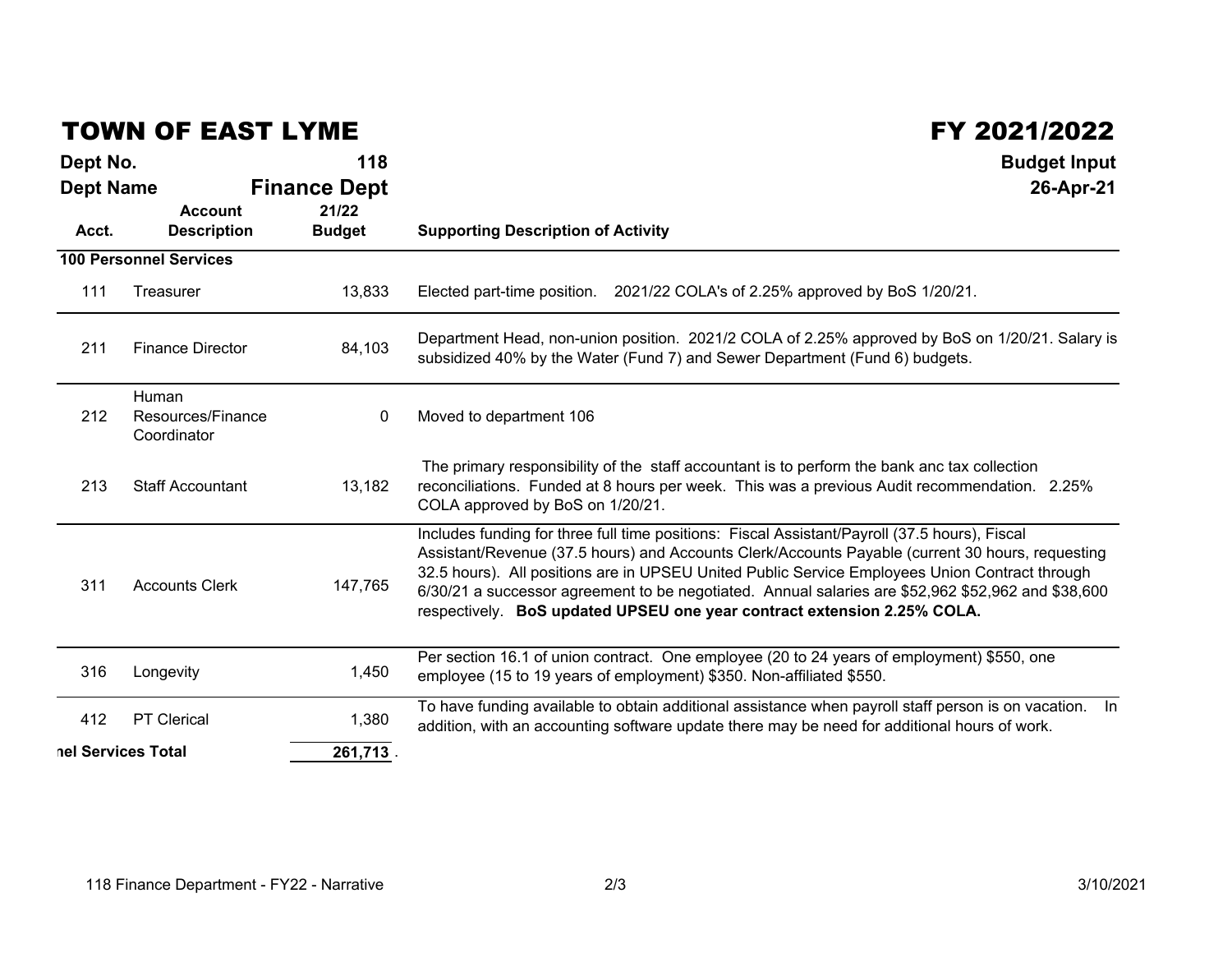## TOWN OF EAST LYME

## FY 2021/2022

| Dept No.                                         | 118                          | <b>Budget Input</b><br>26-Apr-21                                                                                                                                                                                                                                                                                                                                                                                                                                                     |  |  |
|--------------------------------------------------|------------------------------|--------------------------------------------------------------------------------------------------------------------------------------------------------------------------------------------------------------------------------------------------------------------------------------------------------------------------------------------------------------------------------------------------------------------------------------------------------------------------------------|--|--|
| <b>Dept Name</b><br><b>Account</b>               | <b>Finance Dept</b><br>21/22 |                                                                                                                                                                                                                                                                                                                                                                                                                                                                                      |  |  |
| <b>Description</b><br>Acct.                      | <b>Budget</b>                | <b>Supporting Description of Activity</b>                                                                                                                                                                                                                                                                                                                                                                                                                                            |  |  |
| <b>100 Personnel Services</b>                    |                              |                                                                                                                                                                                                                                                                                                                                                                                                                                                                                      |  |  |
| 111<br>Treasurer                                 | 13,833                       | Elected part-time position. 2021/22 COLA's of 2.25% approved by BoS 1/20/21.                                                                                                                                                                                                                                                                                                                                                                                                         |  |  |
| <b>Finance Director</b><br>211                   | 84,103                       | Department Head, non-union position. 2021/2 COLA of 2.25% approved by BoS on 1/20/21. Salary is<br>subsidized 40% by the Water (Fund 7) and Sewer Department (Fund 6) budgets.                                                                                                                                                                                                                                                                                                       |  |  |
| Human<br>212<br>Resources/Finance<br>Coordinator | 0                            | Moved to department 106                                                                                                                                                                                                                                                                                                                                                                                                                                                              |  |  |
| 213<br><b>Staff Accountant</b>                   | 13,182                       | The primary responsibility of the staff accountant is to perform the bank anc tax collection<br>reconciliations. Funded at 8 hours per week. This was a previous Audit recommendation. 2.25%<br>COLA approved by BoS on 1/20/21.                                                                                                                                                                                                                                                     |  |  |
| 311<br><b>Accounts Clerk</b>                     | 147,765                      | Includes funding for three full time positions: Fiscal Assistant/Payroll (37.5 hours), Fiscal<br>Assistant/Revenue (37.5 hours) and Accounts Clerk/Accounts Payable (current 30 hours, requesting<br>32.5 hours). All positions are in UPSEU United Public Service Employees Union Contract through<br>6/30/21 a successor agreement to be negotiated. Annual salaries are \$52,962 \$52,962 and \$38,600<br>respectively. BoS updated UPSEU one year contract extension 2.25% COLA. |  |  |
| 316<br>Longevity                                 | 1,450                        | Per section 16.1 of union contract. One employee (20 to 24 years of employment) \$550, one<br>employee (15 to 19 years of employment) \$350. Non-affiliated \$550.                                                                                                                                                                                                                                                                                                                   |  |  |
| <b>PT Clerical</b><br>412                        | 1,380                        | To have funding available to obtain additional assistance when payroll staff person is on vacation.  In<br>addition, with an accounting software update there may be need for additional hours of work.                                                                                                                                                                                                                                                                              |  |  |
| nel Services Total                               | 261,713.                     |                                                                                                                                                                                                                                                                                                                                                                                                                                                                                      |  |  |